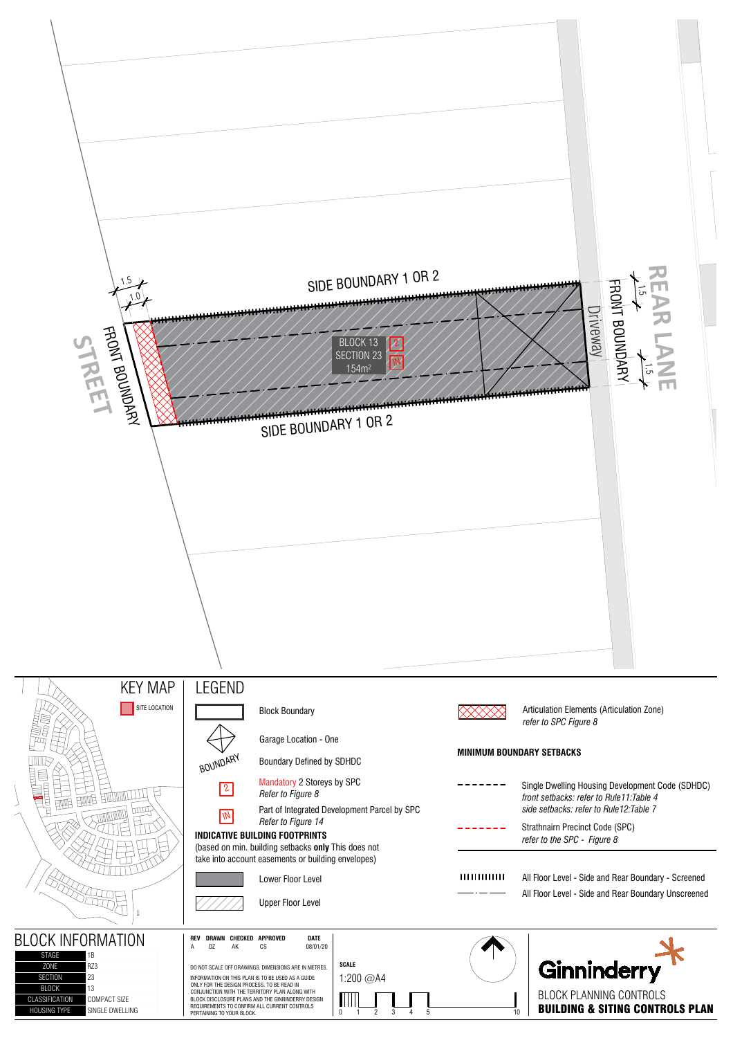